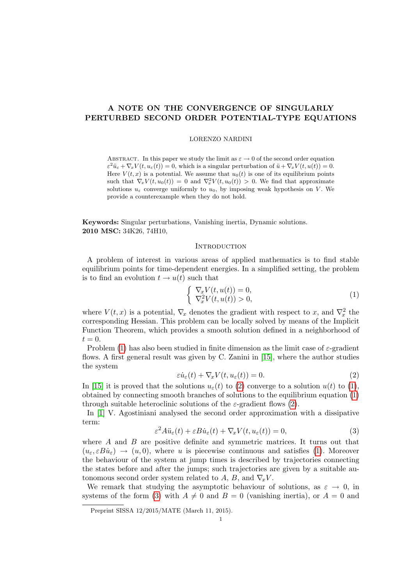# A NOTE ON THE CONVERGENCE OF SINGULARLY PERTURBED SECOND ORDER POTENTIAL-TYPE EQUATIONS

# LORENZO NARDINI

ABSTRACT. In this paper we study the limit as  $\varepsilon \to 0$  of the second order equation  $\varepsilon^2 \ddot{u}_\varepsilon + \nabla_x V(t, u_\varepsilon(t)) = 0$ , which is a singular perturbation of  $\ddot{u} + \nabla_x V(t, u(t)) = 0$ . Here  $V(t, x)$  is a potential. We assume that  $u_0(t)$  is one of its equilibrium points such that  $\nabla_x V(t, u_0(t)) = 0$  and  $\nabla_x^2 V(t, u_0(t)) > 0$ . We find that approximate solutions  $u_{\varepsilon}$  converge uniformly to  $u_0$ , by imposing weak hypothesis on V. We provide a counterexample when they do not hold.

Keywords: Singular perturbations, Vanishing inertia, Dynamic solutions. 2010 MSC: 34K26, 74H10,

# **INTRODUCTION**

A problem of interest in various areas of applied mathematics is to find stable equilibrium points for time-dependent energies. In a simplified setting, the problem is to find an evolution  $t \to u(t)$  such that

<span id="page-0-0"></span>
$$
\begin{cases} \nabla_x V(t, u(t)) = 0, \\ \nabla_x^2 V(t, u(t)) > 0, \end{cases}
$$
\n(1)

where  $V(t, x)$  is a potential,  $\nabla_x$  denotes the gradient with respect to x, and  $\nabla_x^2$  the corresponding Hessian. This problem can be locally solved by means of the Implicit Function Theorem, which provides a smooth solution defined in a neighborhood of  $t=0.$ 

Problem [\(1\)](#page-0-0) has also been studied in finite dimension as the limit case of  $\varepsilon$ -gradient flows. A first general result was given by C. Zanini in [\[15\]](#page-14-0), where the author studies the system

<span id="page-0-1"></span>
$$
\varepsilon \dot{u}_{\varepsilon}(t) + \nabla_{x} V(t, u_{\varepsilon}(t)) = 0.
$$
\n(2)

In [\[15\]](#page-14-0) it is proved that the solutions  $u_{\varepsilon}(t)$  to [\(2\)](#page-0-1) converge to a solution  $u(t)$  to [\(1\)](#page-0-0), obtained by connecting smooth branches of solutions to the equilibrium equation [\(1\)](#page-0-0) through suitable heteroclinic solutions of the  $\varepsilon$ -gradient flows [\(2\)](#page-0-1).

In [\[1\]](#page-13-0) V. Agostiniani analysed the second order approximation with a dissipative term:

<span id="page-0-2"></span>
$$
\varepsilon^2 A \ddot{u}_{\varepsilon}(t) + \varepsilon B \dot{u}_{\varepsilon}(t) + \nabla_x V(t, u_{\varepsilon}(t)) = 0,
$$
\n(3)

where  $A$  and  $B$  are positive definite and symmetric matrices. It turns out that  $(u_{\varepsilon}, \varepsilon B \dot{u}_{\varepsilon}) \rightarrow (u, 0)$ , where u is piecewise continuous and satisfies [\(1\)](#page-0-0). Moreover the behaviour of the system at jump times is described by trajectories connecting the states before and after the jumps; such trajectories are given by a suitable autonomous second order system related to A, B, and  $\nabla_x V$ .

We remark that studying the asymptotic behaviour of solutions, as  $\varepsilon \to 0$ , in systems of the form [\(3\)](#page-0-2) with  $A \neq 0$  and  $B = 0$  (vanishing inertia), or  $A = 0$  and

Preprint SISSA 12/2015/MATE (March 11, 2015).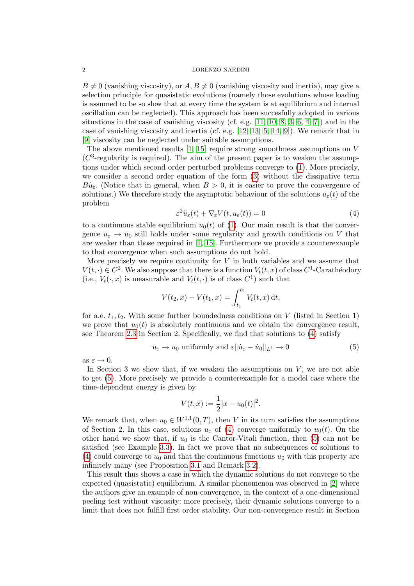$B \neq 0$  (vanishing viscosity), or  $A, B \neq 0$  (vanishing viscosity and inertia), may give a selection principle for quasistatic evolutions (namely those evolutions whose loading is assumed to be so slow that at every time the system is at equilibrium and internal oscillation can be neglected). This approach has been succesfully adopted in various situations in the case of vanishing viscosity (cf. e.g.  $[11, 10, 8, 3, 6, 4, 7]$  $[11, 10, 8, 3, 6, 4, 7]$  $[11, 10, 8, 3, 6, 4, 7]$  $[11, 10, 8, 3, 6, 4, 7]$  $[11, 10, 8, 3, 6, 4, 7]$  $[11, 10, 8, 3, 6, 4, 7]$  $[11, 10, 8, 3, 6, 4, 7]$ ) and in the case of vanishing viscosity and inertia (cf. e.g. [\[12,](#page-14-1) [13,](#page-14-2) [5,](#page-13-8) [14,](#page-14-3) [9\]](#page-13-9)). We remark that in [\[9\]](#page-13-9) viscosity can be neglected under suitable assumptions.

The above mentioned results  $[1, 15]$  $[1, 15]$  require strong smoothness assumptions on V  $(C<sup>3</sup>$ -regularity is required). The aim of the present paper is to weaken the assumptions under which second order perturbed problems converge to [\(1\)](#page-0-0). More precisely, we consider a second order equation of the form [\(3\)](#page-0-2) without the dissipative term  $B\dot{u}_{\varepsilon}$ . (Notice that in general, when  $B > 0$ , it is easier to prove the convergence of solutions.) We therefore study the asymptotic behaviour of the solutions  $u_{\varepsilon}(t)$  of the problem

<span id="page-1-0"></span>
$$
\varepsilon^2 \ddot{u}_{\varepsilon}(t) + \nabla_x V(t, u_{\varepsilon}(t)) = 0 \tag{4}
$$

to a continuous stable equilibrium  $u_0(t)$  of [\(1\)](#page-0-0). Our main result is that the convergence  $u_{\varepsilon} \to u_0$  still holds under some regularity and growth conditions on V that are weaker than those required in [\[1,](#page-13-0) [15\]](#page-14-0). Furthermore we provide a counterexample to that convergence when such assumptions do not hold.

More precisely we require continuity for  $V$  in both variables and we assume that  $V(t, \cdot) \in C^2$ . We also suppose that there is a function  $V_t(t, x)$  of class  $C^1$ -Carathéodory (i.e.,  $V_t(\cdot, x)$  is measurable and  $V_t(t, \cdot)$  is of class  $C^1$ ) such that

$$
V(t_2, x) - V(t_1, x) = \int_{t_1}^{t_2} V_t(t, x) dt,
$$

for a.e.  $t_1, t_2$ . With some further boundedness conditions on V (listed in Section 1) we prove that  $u_0(t)$  is absolutely continuous and we obtain the convergence result, see Theorem [2.3](#page-5-0) in Section 2. Specifically, we find that solutions to [\(4\)](#page-1-0) satisfy

<span id="page-1-1"></span>
$$
u_{\varepsilon} \to u_0
$$
 uniformly and  $\varepsilon ||\dot{u}_{\varepsilon} - \dot{u}_0||_{L^1} \to 0$  (5)

as  $\varepsilon \to 0$ .

In Section 3 we show that, if we weaken the assumptions on  $V$ , we are not able to get [\(5\)](#page-1-1). More precisely we provide a counterexample for a model case where the time-dependent energy is given by

$$
V(t,x) := \frac{1}{2}|x - u_0(t)|^2.
$$

We remark that, when  $u_0 \in W^{1,1}(0,T)$ , then V in its turn satisfies the assumptions of Section 2. In this case, solutions  $u_{\varepsilon}$  of [\(4\)](#page-1-0) converge uniformly to  $u_0(t)$ . On the other hand we show that, if  $u_0$  is the Cantor-Vitali function, then [\(5\)](#page-1-1) can not be satisfied (see Example [3.3\)](#page-11-0). In fact we prove that no subsequences of solutions to [\(4\)](#page-1-0) could converge to  $u_0$  and that the continuous functions  $u_0$  with this property are infinitely many (see Proposition [3.1](#page-11-1) and Remark [3.2\)](#page-11-2).

This result thus shows a case in which the dynamic solutions do not converge to the expected (quasistatic) equilibrium. A similar phenomenon was observed in [\[2\]](#page-13-10) where the authors give an example of non-convergence, in the context of a one-dimensional peeling test without viscosity: more precisely, their dynamic solutions converge to a limit that does not fulfill first order stability. Our non-convergence result in Section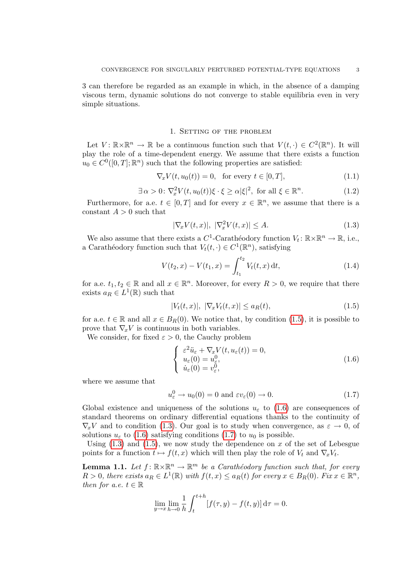3 can therefore be regarded as an example in which, in the absence of a damping viscous term, dynamic solutions do not converge to stable equilibria even in very simple situations.

## 1. Setting of the problem

Let  $V: \mathbb{R} \times \mathbb{R}^n \to \mathbb{R}$  be a continuous function such that  $V(t, \cdot) \in C^2(\mathbb{R}^n)$ . It will play the role of a time-dependent energy. We assume that there exists a function  $u_0 \in C^0([0,T];\mathbb{R}^n)$  such that the following properties are satisfied:

$$
\nabla_x V(t, u_0(t)) = 0, \quad \text{for every } t \in [0, T], \tag{1.1}
$$

$$
\exists \alpha > 0 \colon \nabla_x^2 V(t, u_0(t)) \xi \cdot \xi \ge \alpha |\xi|^2, \text{ for all } \xi \in \mathbb{R}^n. \tag{1.2}
$$

Furthermore, for a.e.  $t \in [0, T]$  and for every  $x \in \mathbb{R}^n$ , we assume that there is a constant  $A > 0$  such that

<span id="page-2-2"></span>
$$
|\nabla_x V(t, x)|, \ |\nabla_x^2 V(t, x)| \le A. \tag{1.3}
$$

We also assume that there exists a  $C^1$ -Carathéodory function  $V_t: \mathbb{R} \times \mathbb{R}^n \to \mathbb{R}$ , i.e., a Carathéodory function such that  $V_t(t, \cdot) \in C^1(\mathbb{R}^n)$ , satisfying

<span id="page-2-4"></span>
$$
V(t_2, x) - V(t_1, x) = \int_{t_1}^{t_2} V_t(t, x) dt,
$$
\n(1.4)

for a.e.  $t_1, t_2 \in \mathbb{R}$  and all  $x \in \mathbb{R}^n$ . Moreover, for every  $R > 0$ , we require that there exists  $a_R \in L^1(\mathbb{R})$  such that

<span id="page-2-0"></span>
$$
|V_t(t,x)|, \ |\nabla_x V_t(t,x)| \le a_R(t), \tag{1.5}
$$

for a.e.  $t \in \mathbb{R}$  and all  $x \in B_R(0)$ . We notice that, by condition [\(1.5\)](#page-2-0), it is possible to prove that  $\nabla_x V$  is continuous in both variables.

We consider, for fixed  $\varepsilon > 0$ , the Cauchy problem

<span id="page-2-1"></span>
$$
\begin{cases}\n\varepsilon^2 \ddot{u}_{\varepsilon} + \nabla_x V(t, u_{\varepsilon}(t)) = 0, \\
u_{\varepsilon}(0) = u_{\varepsilon}^0, \\
\dot{u}_{\varepsilon}(0) = v_{\varepsilon}^0,\n\end{cases}
$$
\n(1.6)

where we assume that

<span id="page-2-3"></span>
$$
u_{\varepsilon}^{0} \to u_{0}(0) = 0 \text{ and } \varepsilon v_{\varepsilon}(0) \to 0. \tag{1.7}
$$

Global existence and uniqueness of the solutions  $u_{\varepsilon}$  to [\(1.6\)](#page-2-1) are consequences of standard theorems on ordinary differential equations thanks to the continuity of  $\nabla_x V$  and to condition [\(1.3\)](#page-2-2). Our goal is to study when convergence, as  $\varepsilon \to 0$ , of solutions  $u_{\varepsilon}$  to [\(1.6\)](#page-2-1) satisfying conditions [\(1.7\)](#page-2-3) to  $u_0$  is possible.

Using  $(1.3)$  and  $(1.5)$ , we now study the dependence on x of the set of Lebesgue points for a function  $t \mapsto f(t, x)$  which will then play the role of  $V_t$  and  $\nabla_x V_t$ .

<span id="page-2-5"></span>**Lemma 1.1.** Let  $f: \mathbb{R} \times \mathbb{R}^n \to \mathbb{R}^m$  be a Carathéodory function such that, for every  $R > 0$ , there exists  $a_R \in L^1(\mathbb{R})$  with  $f(t,x) \le a_R(t)$  for every  $x \in B_R(0)$ . Fix  $x \in \mathbb{R}^n$ , then for a.e.  $t \in \mathbb{R}$ 

$$
\lim_{y \to x} \lim_{h \to 0} \frac{1}{h} \int_{t}^{t+h} [f(\tau, y) - f(t, y)] d\tau = 0.
$$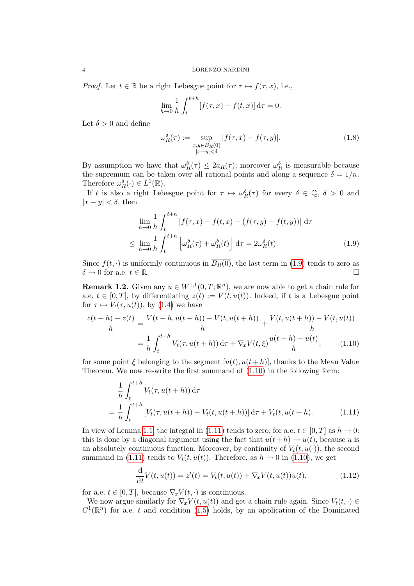*Proof.* Let  $t \in \mathbb{R}$  be a right Lebesgue point for  $\tau \mapsto f(\tau, x)$ , i.e.,

$$
\lim_{h \to 0} \frac{1}{h} \int_{t}^{t+h} [f(\tau, x) - f(t, x)] d\tau = 0.
$$

Let  $\delta > 0$  and define

<span id="page-3-0"></span>
$$
\omega_R^{\delta}(\tau) := \sup_{\substack{x,y \in B_R(0) \\ |x-y| < \delta}} |f(\tau, x) - f(\tau, y)|. \tag{1.8}
$$

By assumption we have that  $\omega_R^{\delta}(\tau) \leq 2 a_R(\tau)$ ; moreover  $\omega_R^{\delta}$  is measurable because the supremum can be taken over all rational points and along a sequence  $\delta = 1/n$ . Therefore  $\omega_R^{\delta}(\cdot) \in L^1(\mathbb{R})$ .

If t is also a right Lebesgue point for  $\tau \mapsto \omega_R^{\delta}(\tau)$  for every  $\delta \in \mathbb{Q}, \delta > 0$  and  $|x - y| < \delta$ , then

$$
\lim_{h \to 0} \frac{1}{h} \int_{t}^{t+h} |f(\tau, x) - f(t, x) - (f(\tau, y) - f(t, y))| d\tau
$$
\n
$$
\leq \lim_{h \to 0} \frac{1}{h} \int_{t}^{t+h} \left[ \omega_{R}^{\delta}(\tau) + \omega_{R}^{\delta}(t) \right] d\tau = 2\omega_{R}^{\delta}(t). \tag{1.9}
$$

Since  $f(t, \cdot)$  is uniformly continuous in  $\overline{B_R(0)}$ , the last term in [\(1.9\)](#page-3-0) tends to zero as  $\delta \to 0$  for a.e.  $t \in \mathbb{R}$ .

**Remark 1.2.** Given any  $u \in W^{1,1}(0,T;\mathbb{R}^n)$ , we are now able to get a chain rule for a.e.  $t \in [0, T]$ , by differentiating  $z(t) := V(t, u(t))$ . Indeed, if t is a Lebesgue point for  $\tau \mapsto V_t(\tau, u(t))$ , by [\(1.4\)](#page-2-4) we have

$$
\frac{z(t+h) - z(t)}{h} = \frac{V(t+h, u(t+h)) - V(t, u(t+h))}{h} + \frac{V(t, u(t+h)) - V(t, u(t))}{h}
$$

$$
= \frac{1}{h} \int_{t}^{t+h} V_t(\tau, u(t+h)) d\tau + \nabla_x V(t, \xi) \frac{u(t+h) - u(t)}{h}, \qquad (1.10)
$$

for some point  $\xi$  belonging to the segment  $[u(t), u(t+h)]$ , thanks to the Mean Value Theorem. We now re-write the first summand of [\(1.10\)](#page-3-1) in the following form:

<span id="page-3-1"></span>
$$
\frac{1}{h} \int_{t}^{t+h} V_{t}(\tau, u(t+h)) d\tau
$$
\n
$$
= \frac{1}{h} \int_{t}^{t+h} \left[ V_{t}(\tau, u(t+h)) - V_{t}(t, u(t+h)) \right] d\tau + V_{t}(t, u(t+h)). \tag{1.11}
$$

In view of Lemma [1.1,](#page-2-5) the integral in [\(1.11\)](#page-3-2) tends to zero, for a.e.  $t \in [0, T]$  as  $h \to 0$ : this is done by a diagonal argument using the fact that  $u(t+h) \to u(t)$ , because u is an absolutely continuous function. Moreover, by continuity of  $V_t(t, u(\cdot))$ , the second summand in [\(1.11\)](#page-3-2) tends to  $V_t(t, u(t))$ . Therefore, as  $h \to 0$  in [\(1.10\)](#page-3-1), we get

<span id="page-3-3"></span><span id="page-3-2"></span>
$$
\frac{d}{dt}V(t, u(t)) = z'(t) = V_t(t, u(t)) + \nabla_x V(t, u(t))\dot{u}(t),
$$
\n(1.12)

for a.e.  $t \in [0, T]$ , because  $\nabla_x V(t, \cdot)$  is continuous.

We now argue similarly for  $\nabla_x V(t, u(t))$  and get a chain rule again. Since  $V_t(t, \cdot) \in$  $C^1(\mathbb{R}^n)$  for a.e. t and condition [\(1.5\)](#page-2-0) holds, by an application of the Dominated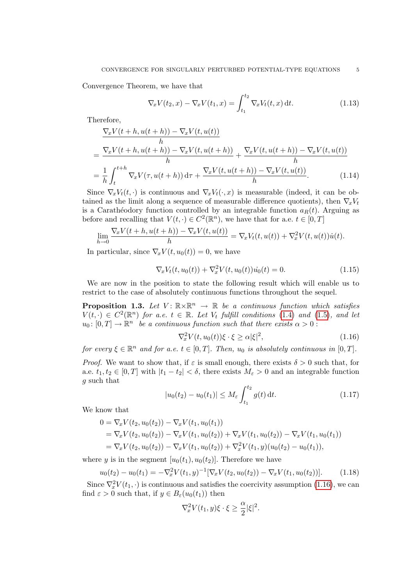Convergence Theorem, we have that

<span id="page-4-2"></span>
$$
\nabla_x V(t_2, x) - \nabla_x V(t_1, x) = \int_{t_1}^{t_2} \nabla_x V_t(t, x) dt.
$$
 (1.13)

Therefore,

$$
\frac{\nabla_x V(t+h, u(t+h)) - \nabla_x V(t, u(t))}{h}
$$
\n
$$
= \frac{\nabla_x V(t+h, u(t+h)) - \nabla_x V(t, u(t+h))}{h} + \frac{\nabla_x V(t, u(t+h)) - \nabla_x V(t, u(t))}{h}
$$
\n
$$
= \frac{1}{h} \int_t^{t+h} \nabla_x V(\tau, u(t+h)) d\tau + \frac{\nabla_x V(t, u(t+h)) - \nabla_x V(t, u(t))}{h}.
$$
\n(1.14)

Since  $\nabla_x V_t(t, \cdot)$  is continuous and  $\nabla_x V_t(\cdot, x)$  is measurable (indeed, it can be obtained as the limit along a sequence of measurable difference quotients), then  $\nabla_x V_t$ is a Carathéodory function controlled by an integrable function  $a_R(t)$ . Arguing as before and recalling that  $V(t, \cdot) \in C^2(\mathbb{R}^n)$ , we have that for a.e.  $t \in [0, T]$ 

$$
\lim_{h \to 0} \frac{\nabla_x V(t+h, u(t+h)) - \nabla_x V(t, u(t))}{h} = \nabla_x V_t(t, u(t)) + \nabla_x^2 V(t, u(t)) \dot{u}(t).
$$

In particular, since  $\nabla_x V(t, u_0(t)) = 0$ , we have

<span id="page-4-5"></span>
$$
\nabla_x V_t(t, u_0(t)) + \nabla_x^2 V(t, u_0(t)) \dot{u_0}(t) = 0.
$$
\n(1.15)

We are now in the position to state the following result which will enable us to restrict to the case of absolutely continuous functions throughout the sequel.

<span id="page-4-4"></span>**Proposition 1.3.** Let  $V: \mathbb{R} \times \mathbb{R}^n \to \mathbb{R}$  be a continuous function which satisfies  $V(t, \cdot) \in C^2(\mathbb{R}^n)$  for a.e.  $t \in \mathbb{R}$ . Let  $V_t$  fulfill conditions [\(1.4\)](#page-2-4) and [\(1.5\)](#page-2-0), and let  $u_0: [0,T] \to \mathbb{R}^n$  be a continuous function such that there exists  $\alpha > 0$ :

<span id="page-4-0"></span>
$$
\nabla_x^2 V(t, u_0(t))\xi \cdot \xi \ge \alpha |\xi|^2,\tag{1.16}
$$

for every  $\xi \in \mathbb{R}^n$  and for a.e.  $t \in [0, T]$ . Then,  $u_0$  is absolutely continuous in  $[0, T]$ .

*Proof.* We want to show that, if  $\varepsilon$  is small enough, there exists  $\delta > 0$  such that, for a.e.  $t_1, t_2 \in [0, T]$  with  $|t_1 - t_2| < \delta$ , there exists  $M_{\varepsilon} > 0$  and an integrable function g such that

<span id="page-4-3"></span>
$$
|u_0(t_2) - u_0(t_1)| \le M_{\varepsilon} \int_{t_1}^{t_2} g(t) dt.
$$
 (1.17)

We know that

$$
0 = \nabla_x V(t_2, u_0(t_2)) - \nabla_x V(t_1, u_0(t_1))
$$
  
=  $\nabla_x V(t_2, u_0(t_2)) - \nabla_x V(t_1, u_0(t_2)) + \nabla_x V(t_1, u_0(t_2)) - \nabla_x V(t_1, u_0(t_1))$   
=  $\nabla_x V(t_2, u_0(t_2)) - \nabla_x V(t_1, u_0(t_2)) + \nabla_x^2 V(t_1, y)(u_0(t_2) - u_0(t_1)),$ 

where y is in the segment  $[u_0(t_1), u_0(t_2)]$ . Therefore we have

<span id="page-4-1"></span>
$$
u_0(t_2) - u_0(t_1) = -\nabla_x^2 V(t_1, y)^{-1} [\nabla_x V(t_2, u_0(t_2)) - \nabla_x V(t_1, u_0(t_2))]. \tag{1.18}
$$

Since  $\nabla_x^2 V(t_1, \cdot)$  is continuous and satisfies the coercivity assumption [\(1.16\)](#page-4-0), we can find  $\varepsilon > 0$  such that, if  $y \in B_{\varepsilon}(u_0(t_1))$  then

$$
\nabla_x^2 V(t_1, y)\xi \cdot \xi \ge \frac{\alpha}{2} |\xi|^2.
$$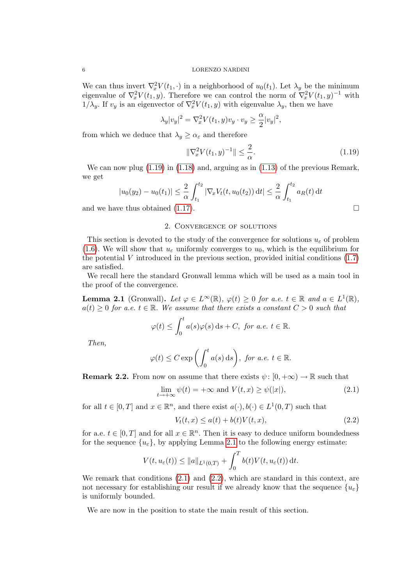We can thus invert  $\nabla_x^2 V(t_1, \cdot)$  in a neighborhood of  $u_0(t_1)$ . Let  $\lambda_y$  be the minimum eigenvalue of  $\nabla_x^2 V(t_1, y)$ . Therefore we can control the norm of  $\nabla_x^2 V(t_1, y)^{-1}$  with  $1/\lambda_y$ . If  $v_y$  is an eigenvector of  $\nabla_x^2 V(t_1, y)$  with eigenvalue  $\lambda_y$ , then we have

$$
\lambda_y|v_y|^2 = \nabla_x^2 V(t_1, y)v_y \cdot v_y \ge \frac{\alpha}{2}|v_y|^2,
$$

from which we deduce that  $\lambda_y \geq \alpha_{\varepsilon}$  and therefore

<span id="page-5-1"></span>
$$
\|\nabla_x^2 V(t_1, y)^{-1}\| \le \frac{2}{\alpha}.\tag{1.19}
$$

We can now plug  $(1.19)$  in  $(1.18)$  and, arguing as in  $(1.13)$  of the previous Remark, we get

$$
|u_0(y_2) - u_0(t_1)| \leq \frac{2}{\alpha} \int_{t_1}^{t_2} |\nabla_x V_t(t, u_0(t_2)) dt| \leq \frac{2}{\alpha} \int_{t_1}^{t_2} a_R(t) dt
$$

and we have thus obtained [\(1.17\)](#page-4-3).

# 2. Convergence of solutions

This section is devoted to the study of the convergence for solutions  $u_{\varepsilon}$  of problem [\(1.6\)](#page-2-1). We will show that  $u_{\varepsilon}$  uniformly converges to  $u_0$ , which is the equilibrium for the potential  $V$  introduced in the previous section, provided initial conditions  $(1.7)$ are satisfied.

We recall here the standard Gronwall lemma which will be used as a main tool in the proof of the convergence.

<span id="page-5-2"></span>**Lemma 2.1** (Gronwall). Let  $\varphi \in L^{\infty}(\mathbb{R})$ ,  $\varphi(t) \geq 0$  for a.e.  $t \in \mathbb{R}$  and  $a \in L^{1}(\mathbb{R})$ ,  $a(t) \geq 0$  for a.e.  $t \in \mathbb{R}$ . We assume that there exists a constant  $C > 0$  such that

$$
\varphi(t) \le \int_0^t a(s)\varphi(s) \,ds + C, \text{ for a.e. } t \in \mathbb{R}.
$$

Then,

$$
\varphi(t) \le C \exp\left(\int_0^t a(s) \, \mathrm{d}s\right), \text{ for a.e. } t \in \mathbb{R}.
$$

<span id="page-5-5"></span>**Remark 2.2.** From now on assume that there exists  $\psi$ :  $[0, +\infty) \to \mathbb{R}$  such that

<span id="page-5-3"></span>
$$
\lim_{t \to +\infty} \psi(t) = +\infty \text{ and } V(t, x) \ge \psi(|x|), \tag{2.1}
$$

for all  $t \in [0, T]$  and  $x \in \mathbb{R}^n$ , and there exist  $a(\cdot), b(\cdot) \in L^1(0, T)$  such that

<span id="page-5-4"></span>
$$
V_t(t,x) \le a(t) + b(t)V(t,x),\tag{2.2}
$$

for a.e.  $t \in [0, T]$  and for all  $x \in \mathbb{R}^n$ . Then it is easy to deduce uniform boundedness for the sequence  $\{u_{\varepsilon}\}\,$ , by applying Lemma [2.1](#page-5-2) to the following energy estimate:

$$
V(t, u_{\varepsilon}(t)) \leq ||a||_{L^{1}(0,T)} + \int_{0}^{T} b(t)V(t, u_{\varepsilon}(t)) dt.
$$

We remark that conditions  $(2.1)$  and  $(2.2)$ , which are standard in this context, are not necessary for establishing our result if we already know that the sequence  ${u_{\varepsilon}}$ is uniformly bounded.

<span id="page-5-0"></span>We are now in the position to state the main result of this section.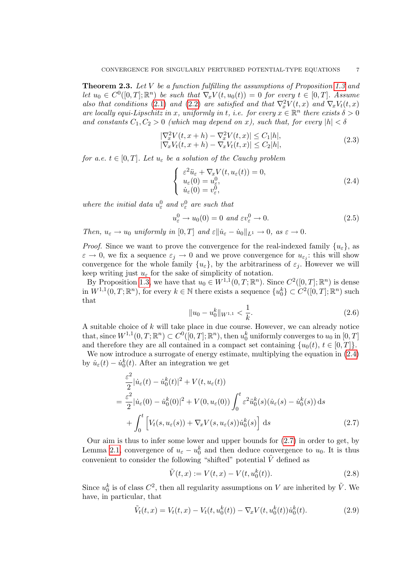**Theorem 2.3.** Let V be a function fulfilling the assumptions of Proposition [1.3](#page-4-4) and let  $u_0 \in C^0([0,T];\mathbb{R}^n)$  be such that  $\nabla_x V(t, u_0(t)) = 0$  for every  $t \in [0,T]$ . Assume also that conditions [\(2.1\)](#page-5-3) and [\(2.2\)](#page-5-4) are satisfied and that  $\nabla_x^2 V(t,x)$  and  $\nabla_x V_t(t,x)$ are locally equi-Lipschitz in x, uniformly in t, i.e. for every  $x \in \mathbb{R}^n$  there exists  $\delta > 0$ and constants  $C_1, C_2 > 0$  (which may depend on x), such that, for every  $|h| < \delta$ 

<span id="page-6-3"></span>
$$
\begin{aligned} |\nabla_x^2 V(t, x + h) - \nabla_x^2 V(t, x)| &\le C_1 |h|, \\ |\nabla_x V_t(t, x + h) - \nabla_x V_t(t, x)| &\le C_2 |h|, \end{aligned} \tag{2.3}
$$

for a.e.  $t \in [0, T]$ . Let  $u_{\varepsilon}$  be a solution of the Cauchy problem

<span id="page-6-0"></span>
$$
\begin{cases}\n\varepsilon^2 \ddot{u}_{\varepsilon} + \nabla_x V(t, u_{\varepsilon}(t)) = 0, \\
u_{\varepsilon}(0) = u_{\varepsilon}^0, \\
\dot{u}_{\varepsilon}(0) = v_{\varepsilon}^0,\n\end{cases}
$$
\n(2.4)

where the initial data  $u_{\varepsilon}^0$  and  $v_{\varepsilon}^0$  are such that

<span id="page-6-2"></span>
$$
u_{\varepsilon}^{0} \to u_{0}(0) = 0 \text{ and } \varepsilon v_{\varepsilon}^{0} \to 0. \tag{2.5}
$$

Then,  $u_{\varepsilon} \to u_0$  uniformly in  $[0, T]$  and  $\varepsilon || \dot{u}_{\varepsilon} - \dot{u}_0 ||_{L^1} \to 0$ , as  $\varepsilon \to 0$ .

*Proof.* Since we want to prove the convergence for the real-indexed family  $\{u_{\varepsilon}\}\$ , as  $\varepsilon \to 0$ , we fix a sequence  $\varepsilon_j \to 0$  and we prove convergence for  $u_{\varepsilon_j}$ : this will show convergence for the whole family  $\{u_{\varepsilon}\}\,$ , by the arbitrariness of  $\varepsilon_i$ . However we will keep writing just  $u_{\varepsilon}$  for the sake of simplicity of notation.

By Proposition [1.3,](#page-4-4) we have that  $u_0 \in W^{1,1}(0,T;\mathbb{R}^n)$ . Since  $C^2([0,T];\mathbb{R}^n)$  is dense in  $W^{1,1}(0,T;\mathbb{R}^n)$ , for every  $k \in \mathbb{N}$  there exists a sequence  $\{u_0^k\} \subset C^2([0,T];\mathbb{R}^n)$  such that

$$
||u_0 - u_0^k||_{W^{1,1}} < \frac{1}{k}.\tag{2.6}
$$

A suitable choice of k will take place in due course. However, we can already notice that, since  $W^{1,1}(0,T; \mathbb{R}^n) \subset C^0([0,T]; \mathbb{R}^n)$ , then  $u_0^k$  uniformly converges to  $u_0$  in  $[0,T]$ and therefore they are all contained in a compact set containing  $\{u_0(t), t \in [0,T]\}.$ 

We now introduce a surrogate of energy estimate, multiplying the equation in [\(2.4\)](#page-6-0) by  $\dot{u}_{\varepsilon}(t) - \dot{u}_{0}^{k}(t)$ . After an integration we get

$$
\frac{\varepsilon^2}{2} |\dot{u}_{\varepsilon}(t) - \dot{u}_0^k(t)|^2 + V(t, u_{\varepsilon}(t))
$$
\n
$$
= \frac{\varepsilon^2}{2} |\dot{u}_{\varepsilon}(0) - \dot{u}_0^k(0)|^2 + V(0, u_{\varepsilon}(0)) \int_0^t \varepsilon^2 \ddot{u}_0^k(s) (\dot{u}_{\varepsilon}(s) - \dot{u}_0^k(s)) ds
$$
\n
$$
+ \int_0^t \left[ V_t(s, u_{\varepsilon}(s)) + \nabla_x V(s, u_{\varepsilon}(s)) \dot{u}_0^k(s) \right] ds \tag{2.7}
$$

Our aim is thus to infer some lower and upper bounds for [\(2.7\)](#page-6-1) in order to get, by Lemma [2.1,](#page-5-2) convergence of  $u_{\varepsilon} - u_0^k$  and then deduce convergence to  $u_0$ . It is thus convenient to consider the following "shifted" potential  $\tilde{V}$  defined as

<span id="page-6-1"></span>
$$
\tilde{V}(t,x) := V(t,x) - V(t, u_0^k(t)).
$$
\n(2.8)

Since  $u_0^k$  is of class  $C^2$ , then all regularity assumptions on V are inherited by  $\tilde{V}$ . We have, in particular, that

<span id="page-6-4"></span>
$$
\tilde{V}_t(t,x) = V_t(t,x) - V_t(t, u_0^k(t)) - \nabla_x V(t, u_0^k(t))\dot{u}_0^k(t).
$$
\n(2.9)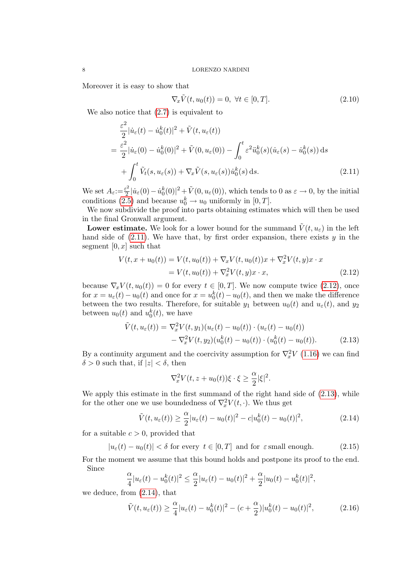Moreover it is easy to show that

<span id="page-7-5"></span><span id="page-7-0"></span>
$$
\nabla_x \tilde{V}(t, u_0(t)) = 0, \ \forall t \in [0, T]. \tag{2.10}
$$

We also notice that [\(2.7\)](#page-6-1) is equivalent to

$$
\frac{\varepsilon^2}{2} |\dot{u}_{\varepsilon}(t) - \dot{u}_0^k(t)|^2 + \tilde{V}(t, u_{\varepsilon}(t))
$$
\n
$$
= \frac{\varepsilon^2}{2} |\dot{u}_{\varepsilon}(0) - \dot{u}_0^k(0)|^2 + \tilde{V}(0, u_{\varepsilon}(0)) - \int_0^t \varepsilon^2 \ddot{u}_0^k(s) (\dot{u}_{\varepsilon}(s) - \dot{u}_0^k(s)) ds
$$
\n
$$
+ \int_0^t \tilde{V}_t(s, u_{\varepsilon}(s)) + \nabla_x \tilde{V}(s, u_{\varepsilon}(s)) \dot{u}_0^k(s) ds.
$$
\n(2.11)

We set  $A_{\varepsilon}:=\frac{\varepsilon^2}{2}$  $\frac{1}{2} \bar{z}^2 |\dot{u}_\varepsilon(0) - \dot{u}_0^k(0)|^2 + \tilde{V}(0, u_\varepsilon(0)),$  which tends to 0 as  $\varepsilon \to 0$ , by the initial conditions [\(2.5\)](#page-6-2) and because  $u_0^k \to u_0$  uniformly in [0, T].

We now subdivide the proof into parts obtaining estimates which will then be used in the final Gronwall argument.

**Lower estimate.** We look for a lower bound for the summand  $\tilde{V}(t, u_{\varepsilon})$  in the left hand side of  $(2.11)$ . We have that, by first order expansion, there exists  $y$  in the segment  $[0, x]$  such that

$$
V(t, x + u_0(t)) = V(t, u_0(t)) + \nabla_x V(t, u_0(t))x + \nabla_x^2 V(t, y)x \cdot x
$$
  
=  $V(t, u_0(t)) + \nabla_x^2 V(t, y)x \cdot x,$  (2.12)

because  $\nabla_x V(t, u_0(t)) = 0$  for every  $t \in [0, T]$ . We now compute twice [\(2.12\)](#page-7-1), once for  $x = u_{\varepsilon}(t) - u_0(t)$  and once for  $x = u_0^k(t) - u_0(t)$ , and then we make the difference between the two results. Therefore, for suitable  $y_1$  between  $u_0(t)$  and  $u_\varepsilon(t)$ , and  $y_2$ between  $u_0(t)$  and  $u_0^k(t)$ , we have

$$
\tilde{V}(t, u_{\varepsilon}(t)) = \nabla_x^2 V(t, y_1) (u_{\varepsilon}(t) - u_0(t)) \cdot (u_{\varepsilon}(t) - u_0(t)) \n- \nabla_x^2 V(t, y_2) (u_0^k(t) - u_0(t)) \cdot (u_0^k(t) - u_0(t)).
$$
\n(2.13)

By a continuity argument and the coercivity assumption for  $\nabla_x^2 V$  [\(1.16\)](#page-4-0) we can find  $\delta > 0$  such that, if  $|z| < \delta$ , then

<span id="page-7-2"></span><span id="page-7-1"></span>
$$
\nabla_x^2 V(t, z + u_0(t)) \xi \cdot \xi \ge \frac{\alpha}{2} |\xi|^2.
$$

We apply this estimate in the first summand of the right hand side of [\(2.13\)](#page-7-2), while for the other one we use boundedness of  $\nabla_x^2 V(t, \cdot)$ . We thus get

<span id="page-7-3"></span>
$$
\tilde{V}(t, u_{\varepsilon}(t)) \ge \frac{\alpha}{2}|u_{\varepsilon}(t) - u_0(t)|^2 - c|u_0^{k}(t) - u_0(t)|^2,
$$
\n(2.14)

for a suitable  $c > 0$ , provided that

<span id="page-7-6"></span>
$$
|u_{\varepsilon}(t) - u_0(t)| < \delta \text{ for every } t \in [0, T] \text{ and for } \varepsilon \text{ small enough.} \tag{2.15}
$$

For the moment we assume that this bound holds and postpone its proof to the end. Since

$$
\frac{\alpha}{4}|u_{\varepsilon}(t) - u_0^{k}(t)|^2 \leq \frac{\alpha}{2}|u_{\varepsilon}(t) - u_0(t)|^2 + \frac{\alpha}{2}|u_0(t) - u_0^{k}(t)|^2,
$$

we deduce, from [\(2.14\)](#page-7-3), that

<span id="page-7-4"></span>
$$
\tilde{V}(t, u_{\varepsilon}(t)) \ge \frac{\alpha}{4} |u_{\varepsilon}(t) - u_0^k(t)|^2 - (c + \frac{\alpha}{2}) |u_0^k(t) - u_0(t)|^2, \tag{2.16}
$$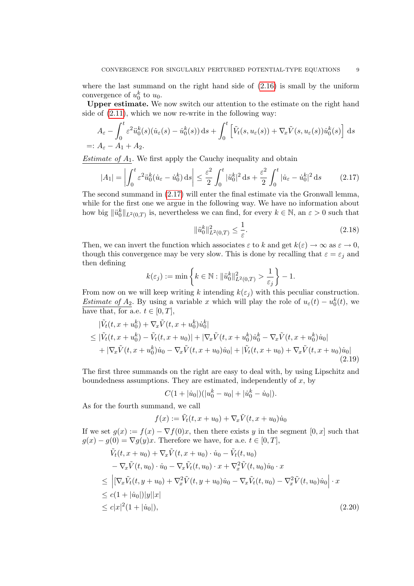where the last summand on the right hand side of  $(2.16)$  is small by the uniform convergence of  $u_0^k$  to  $u_0$ .

Upper estimate. We now switch our attention to the estimate on the right hand side of [\(2.11\)](#page-7-0), which we now re-write in the following way:

$$
A_{\varepsilon} - \int_0^t \varepsilon^2 \ddot{u}_0^k(s) (\dot{u}_{\varepsilon}(s) - \dot{u}_0^k(s)) ds + \int_0^t \left[ \tilde{V}_t(s, u_{\varepsilon}(s)) + \nabla_x \tilde{V}(s, u_{\varepsilon}(s)) \dot{u}_0^k(s) \right] ds
$$
  
=:  $A_{\varepsilon} - A_1 + A_2$ .

Estimate of  $A_1$ . We first apply the Cauchy inequality and obtain

<span id="page-8-0"></span>
$$
|A_1| = \left| \int_0^t \varepsilon^2 \ddot{u}_0^k (\dot{u}_\varepsilon - \dot{u}_0^k) \, ds \right| \le \frac{\varepsilon^2}{2} \int_0^t |\ddot{u}_0^k|^2 \, ds + \frac{\varepsilon^2}{2} \int_0^t |\dot{u}_\varepsilon - \dot{u}_0^k|^2 \, ds \tag{2.17}
$$

The second summand in [\(2.17\)](#page-8-0) will enter the final estimate via the Gronwall lemma, while for the first one we argue in the following way. We have no information about how big  $\|\ddot{u}_0^k\|_{L^2(0,T)}$  is, nevertheless we can find, for every  $k \in \mathbb{N}$ , an  $\varepsilon > 0$  such that

<span id="page-8-3"></span>
$$
\|\ddot{u}_0^k\|_{L^2(0,T)}^2 \le \frac{1}{\varepsilon}.\tag{2.18}
$$

Then, we can invert the function which associates  $\varepsilon$  to k and get  $k(\varepsilon) \to \infty$  as  $\varepsilon \to 0$ , though this convergence may be very slow. This is done by recalling that  $\varepsilon = \varepsilon_j$  and then defining

$$
k(\varepsilon_j) := \min \left\{ k \in \mathbb{N} : \| \ddot{u}_0^k \|_{L^2(0,T)}^2 > \frac{1}{\varepsilon_j} \right\} - 1.
$$

From now on we will keep writing k intending  $k(\varepsilon_j)$  with this peculiar construction. Estimate of  $A_2$ . By using a variable x which will play the role of  $u_{\varepsilon}(t) - u_0^{k}(t)$ , we have that, for a.e.  $t \in [0, T]$ ,

$$
|\tilde{V}_t(t, x + u_0^k) + \nabla_x \tilde{V}(t, x + u_0^k)\dot{u}_0^k|
$$
  
\n
$$
\leq |\tilde{V}_t(t, x + u_0^k) - \tilde{V}_t(t, x + u_0)| + |\nabla_x \tilde{V}(t, x + u_0^k)\dot{u}_0^k - \nabla_x \tilde{V}(t, x + u_0^k)\dot{u}_0|
$$
  
\n
$$
+ |\nabla_x \tilde{V}(t, x + u_0^k)\dot{u}_0 - \nabla_x \tilde{V}(t, x + u_0)\dot{u}_0| + |\tilde{V}_t(t, x + u_0) + \nabla_x \tilde{V}(t, x + u_0)\dot{u}_0|
$$
\n(2.19)

The first three summands on the right are easy to deal with, by using Lipschitz and boundedness assumptions. They are estimated, independently of  $x$ , by

<span id="page-8-2"></span>
$$
C(1+|i0|)(|u_0^k - u_0| + |u_0^k - u_0|).
$$

As for the fourth summand, we call

<span id="page-8-1"></span>
$$
f(x) := \tilde{V}_t(t, x + u_0) + \nabla_x \tilde{V}(t, x + u_0) \dot{u}_0
$$

If we set  $g(x) := f(x) - \nabla f(0)x$ , then there exists y in the segment  $[0, x]$  such that  $g(x) - g(0) = \nabla g(y)x$ . Therefore we have, for a.e.  $t \in [0, T]$ ,

$$
\tilde{V}_t(t, x + u_0) + \nabla_x \tilde{V}(t, x + u_0) \cdot \dot{u}_0 - \tilde{V}_t(t, u_0) \n- \nabla_x \tilde{V}(t, u_0) \cdot \dot{u}_0 - \nabla_x \tilde{V}_t(t, u_0) \cdot x + \nabla_x^2 \tilde{V}(t, u_0) \dot{u}_0 \cdot x \n\leq \left| \left[ \nabla_x \tilde{V}_t(t, y + u_0) + \nabla_x^2 \tilde{V}(t, y + u_0) \dot{u}_0 - \nabla_x \tilde{V}_t(t, u_0) - \nabla_x^2 \tilde{V}(t, u_0) \dot{u}_0 \right] \cdot x \right| \n\leq c(1 + |\dot{u}_0|)|y||x| \n\leq c|x|^2(1 + |\dot{u}_0|),
$$
\n(2.20)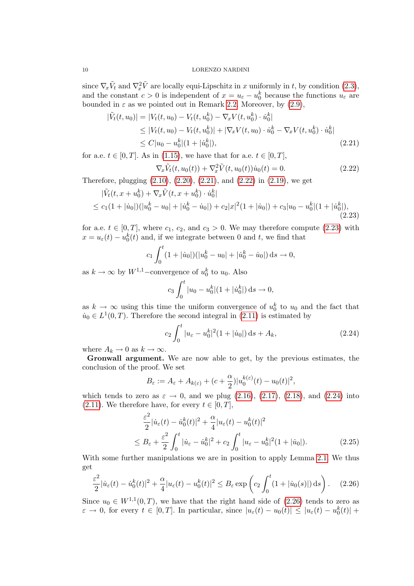since  $\nabla_x \tilde{V}_t$  and  $\nabla_x^2 \tilde{V}$  are locally equi-Lipschitz in x uniformly in t, by condition [\(2.3\)](#page-6-3), and the constant  $c > 0$  is independent of  $x = u_{\varepsilon} - u_0^k$  because the functions  $u_{\varepsilon}$  are bounded in  $\varepsilon$  as we pointed out in Remark [2.2.](#page-5-5) Moreover, by [\(2.9\)](#page-6-4),

$$
|\tilde{V}_t(t, u_0)| = |V_t(t, u_0) - V_t(t, u_0^k) - \nabla_x V(t, u_0^k) \cdot \dot{u}_0^k|
$$
  
\n
$$
\leq |V_t(t, u_0) - V_t(t, u_0^k)| + |\nabla_x V(t, u_0) \cdot \dot{u}_0^k - \nabla_x V(t, u_0^k) \cdot \dot{u}_0^k|
$$
  
\n
$$
\leq C|u_0 - u_0^k|(1 + |\dot{u}_0^k|),
$$
\n(2.21)

for a.e.  $t \in [0, T]$ . As in [\(1.15\)](#page-4-5), we have that for a.e.  $t \in [0, T]$ ,

<span id="page-9-1"></span><span id="page-9-0"></span>
$$
\nabla_x \tilde{V}_t(t, u_0(t)) + \nabla_x^2 \tilde{V}(t, u_0(t)) \dot{u}_0(t) = 0.
$$
\n(2.22)

Therefore, plugging [\(2.10\)](#page-7-5), [\(2.20\)](#page-8-1), [\(2.21\)](#page-9-0), and [\(2.22\)](#page-9-1) in [\(2.19\)](#page-8-2), we get

$$
|\tilde{V}_t(t, x + u_0^k) + \nabla_x \tilde{V}(t, x + u_0^k) \cdot \dot{u}_0^k|
$$
  
\n
$$
\leq c_1(1 + |\dot{u}_0|)(|u_0^k - u_0| + |\dot{u}_0^k - \dot{u}_0|) + c_2|x|^2(1 + |\dot{u}_0|) + c_3|u_0 - u_0^k|(1 + |\dot{u}_0^k|),
$$
\n(2.23)

for a.e.  $t \in [0, T]$ , where  $c_1, c_2$ , and  $c_3 > 0$ . We may therefore compute [\(2.23\)](#page-9-2) with  $x = u_{\varepsilon}(t) - u_0^k(t)$  and, if we integrate between 0 and t, we find that

$$
c_1 \int_0^t (1+|\dot{u}_0|)(|u_0^k - u_0| + |\dot{u}_0^k - \dot{u}_0|) ds \to 0,
$$

as  $k \to \infty$  by  $W^{1,1}$ –convergence of  $u_0^k$  to  $u_0$ . Also

<span id="page-9-2"></span>
$$
c_3 \int_0^t |u_0 - u_0^k| (1 + |\dot{u}_0^k|) \, ds \to 0,
$$

as  $k \to \infty$  using this time the uniform convergence of  $u_0^k$  to  $u_0$  and the fact that  $\dot{u}_0 \in L^1(0,T)$ . Therefore the second integral in [\(2.11\)](#page-7-0) is estimated by

<span id="page-9-3"></span>
$$
c_2 \int_0^t |u_\varepsilon - u_0^k|^2 (1 + |\dot{u}_0|) \, \mathrm{d} s + A_k,\tag{2.24}
$$

where  $A_k \to 0$  as  $k \to \infty$ .

Gronwall argument. We are now able to get, by the previous estimates, the conclusion of the proof. We set

$$
B_{\varepsilon} := A_{\varepsilon} + A_{k(\varepsilon)} + (c + \frac{\alpha}{2})|u_0^{k(\varepsilon)}(t) - u_0(t)|^2,
$$

which tends to zero as  $\varepsilon \to 0$ , and we plug [\(2.16\)](#page-7-4), [\(2.17\)](#page-8-0), [\(2.18\)](#page-8-3), and [\(2.24\)](#page-9-3) into [\(2.11\)](#page-7-0). We therefore have, for every  $t \in [0, T]$ ,

$$
\frac{\varepsilon^2}{2} |\dot{u}_{\varepsilon}(t) - \dot{u}_0^k(t)|^2 + \frac{\alpha}{4} |u_{\varepsilon}(t) - u_0^k(t)|^2
$$
  
\n
$$
\leq B_{\varepsilon} + \frac{\varepsilon^2}{2} \int_0^t |\dot{u}_{\varepsilon} - \dot{u}_0^k|^2 + c_2 \int_0^t |u_{\varepsilon} - u_0^k|^2 (1 + |\dot{u}_0|). \tag{2.25}
$$

With some further manipulations we are in position to apply Lemma [2.1.](#page-5-2) We thus get

<span id="page-9-4"></span>
$$
\frac{\varepsilon^2}{2}|\dot{u}_{\varepsilon}(t) - \dot{u}_0^k(t)|^2 + \frac{\alpha}{4}|u_{\varepsilon}(t) - u_0^k(t)|^2 \le B_{\varepsilon} \exp\left(c_2 \int_0^t (1 + |\dot{u}_0(s)|) \, ds\right). \tag{2.26}
$$

Since  $u_0 \in W^{1,1}(0,T)$ , we have that the right hand side of  $(2.26)$  tends to zero as  $\varepsilon \to 0$ , for every  $t \in [0,T]$ . In particular, since  $|u_{\varepsilon}(t) - u_0(t)| \leq |u_{\varepsilon}(t) - u_0^{k}(t)| +$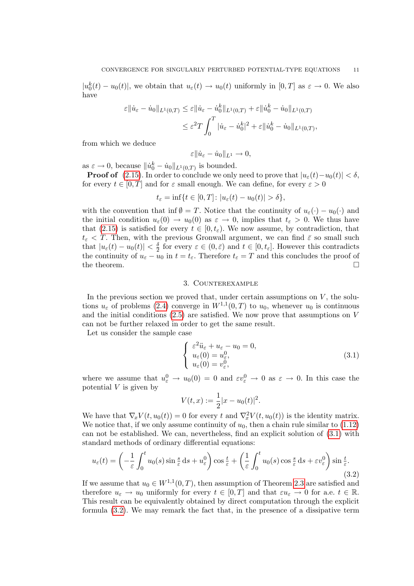$|u_0^k(t) - u_0(t)|$ , we obtain that  $u_\varepsilon(t) \to u_0(t)$  uniformly in  $[0,T]$  as  $\varepsilon \to 0$ . We also have

$$
\varepsilon \|\dot{u}_{\varepsilon} - \dot{u}_0\|_{L^1(0,T)} \leq \varepsilon \|\dot{u}_{\varepsilon} - \dot{u}_0^k\|_{L^1(0,T)} + \varepsilon \|\dot{u}_0^k - \dot{u}_0\|_{L^1(0,T)} \n\leq \varepsilon^2 T \int_0^T |\dot{u}_{\varepsilon} - \dot{u}_0^k|^2 + \varepsilon \|\dot{u}_0^k - \dot{u}_0\|_{L^1(0,T)},
$$

from which we deduce

$$
\varepsilon \|\dot{u}_{\varepsilon} - \dot{u}_0\|_{L^1} \to 0,
$$

as  $\varepsilon \to 0$ , because  $\|\dot{u}_0^k - \dot{u}_0\|_{L^1(0,T)}$  is bounded.

**Proof of** [\(2.15\)](#page-7-6). In order to conclude we only need to prove that  $|u_{\varepsilon}(t)-u_0(t)| < \delta$ , for every  $t \in [0, T]$  and for  $\varepsilon$  small enough. We can define, for every  $\varepsilon > 0$ 

$$
t_{\varepsilon} = \inf\{t \in [0, T] : |u_{\varepsilon}(t) - u_0(t)| > \delta\},\
$$

with the convention that inf  $\emptyset = T$ . Notice that the continuity of  $u_{\varepsilon}(\cdot) - u_0(\cdot)$  and the initial condition  $u_{\varepsilon}(0) \to u_0(0)$  as  $\varepsilon \to 0$ , implies that  $t_{\varepsilon} > 0$ . We thus have that [\(2.15\)](#page-7-6) is satisfied for every  $t \in [0, t_{\varepsilon})$ . We now assume, by contradiction, that  $t_{\varepsilon}$  < T. Then, with the previous Gronwall argument, we can find  $\bar{\varepsilon}$  so small such that  $|u_{\varepsilon}(t) - u_0(t)| < \frac{\delta}{2}$  $\frac{\delta}{2}$  for every  $\varepsilon \in (0, \bar{\varepsilon})$  and  $t \in [0, t_{\varepsilon}]$ . However this contradicts the continuity of  $u_{\varepsilon} - u_0$  in  $t = t_{\varepsilon}$ . Therefore  $t_{\varepsilon} = T$  and this concludes the proof of the theorem.  $\Box$ 

# 3. Counterexample

In the previous section we proved that, under certain assumptions on  $V$ , the solutions  $u_{\varepsilon}$  of problems [\(2.4\)](#page-6-0) converge in  $W^{1,1}(0,T)$  to  $u_0$ , whenever  $u_0$  is continuous and the initial conditions [\(2.5\)](#page-6-2) are satisfied. We now prove that assumptions on V can not be further relaxed in order to get the same result.

Let us consider the sample case

<span id="page-10-0"></span>
$$
\begin{cases}\n\varepsilon^2 \ddot{u}_{\varepsilon} + u_{\varepsilon} - u_0 = 0, \\
u_{\varepsilon}(0) = u_{\varepsilon}^0, \\
u_{\varepsilon}(0) = v_{\varepsilon}^0,\n\end{cases}
$$
\n(3.1)

where we assume that  $u_{\varepsilon}^0 \to u_0(0) = 0$  and  $\varepsilon v_{\varepsilon}^0 \to 0$  as  $\varepsilon \to 0$ . In this case the potential  $V$  is given by

$$
V(t,x) := \frac{1}{2}|x - u_0(t)|^2.
$$

We have that  $\nabla_x V(t, u_0(t)) = 0$  for every t and  $\nabla_x^2 V(t, u_0(t))$  is the identity matrix. We notice that, if we only assume continuity of  $u_0$ , then a chain rule similar to [\(1.12\)](#page-3-3) can not be established. We can, nevertheless, find an explicit solution of [\(3.1\)](#page-10-0) with standard methods of ordinary differential equations:

<span id="page-10-1"></span>
$$
u_{\varepsilon}(t) = \left(-\frac{1}{\varepsilon} \int_0^t u_0(s) \sin \frac{s}{\varepsilon} ds + u_{\varepsilon}^0\right) \cos \frac{t}{\varepsilon} + \left(\frac{1}{\varepsilon} \int_0^t u_0(s) \cos \frac{s}{\varepsilon} ds + \varepsilon v_{\varepsilon}^0\right) \sin \frac{t}{\varepsilon}.\tag{3.2}
$$

If we assume that  $u_0 \in W^{1,1}(0,T)$ , then assumption of Theorem [2.3](#page-5-0) are satisfied and therefore  $u_{\varepsilon} \to u_0$  uniformly for every  $t \in [0,T]$  and that  $\varepsilon u_{\varepsilon} \to 0$  for a.e.  $t \in \mathbb{R}$ . This result can be equivalently obtained by direct computation through the explicit formula [\(3.2\)](#page-10-1). We may remark the fact that, in the presence of a dissipative term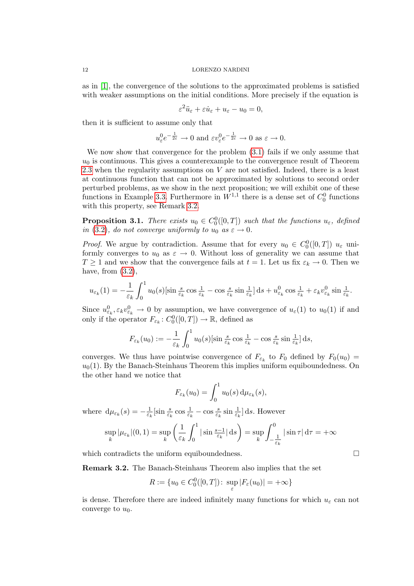as in [\[1\]](#page-13-0), the convergence of the solutions to the approximated problems is satisfied with weaker assumptions on the initial conditions. More precisely if the equation is

$$
\varepsilon^2 \ddot{u}_{\varepsilon} + \varepsilon \dot{u}_{\varepsilon} + u_{\varepsilon} - u_0 = 0,
$$

then it is sufficient to assume only that

$$
u_{\varepsilon}^{0}e^{-\frac{1}{2\varepsilon}} \to 0
$$
 and  $\varepsilon v_{\varepsilon}^{0}e^{-\frac{1}{2\varepsilon}} \to 0$  as  $\varepsilon \to 0$ .

We now show that convergence for the problem [\(3.1\)](#page-10-0) fails if we only assume that  $u_0$  is continuous. This gives a counterexample to the convergence result of Theorem [2.3](#page-5-0) when the regularity assumptions on  $V$  are not satisfied. Indeed, there is a least at continuous function that can not be approximated by solutions to second order perturbed problems, as we show in the next proposition; we will exhibit one of these functions in Example [3.3.](#page-11-0) Furthermore in  $W^{1,1}$  there is a dense set of  $C_0^0$  functions with this property, see Remark [3.2.](#page-11-2)

<span id="page-11-1"></span>**Proposition 3.1.** There exists  $u_0 \in C_0^0([0,T])$  such that the functions  $u_{\varepsilon}$ , defined in [\(3.2\)](#page-10-1), do not converge uniformly to  $u_0$  as  $\varepsilon \to 0$ .

*Proof.* We argue by contradiction. Assume that for every  $u_0 \in C_0^0([0,T])$   $u_{\varepsilon}$  uniformly converges to  $u_0$  as  $\varepsilon \to 0$ . Without loss of generality we can assume that  $T \geq 1$  and we show that the convergence fails at  $t = 1$ . Let us fix  $\varepsilon_k \to 0$ . Then we have, from  $(3.2)$ ,

$$
u_{\varepsilon_k}(1) = -\frac{1}{\varepsilon_k} \int_0^1 u_0(s) [\sin \frac{s}{\varepsilon_k} \cos \frac{1}{\varepsilon_k} - \cos \frac{s}{\varepsilon_k} \sin \frac{1}{\varepsilon_k}] ds + u_{\varepsilon_k}^0 \cos \frac{1}{\varepsilon_k} + \varepsilon_k v_{\varepsilon_k}^0 \sin \frac{1}{\varepsilon_k}.
$$

Since  $u_{\varepsilon_k}^0, \varepsilon_k v_{\varepsilon_k}^0 \to 0$  by assumption, we have convergence of  $u_{\varepsilon}(1)$  to  $u_0(1)$  if and only if the operator  $F_{\varepsilon_k}: C_0^0([0,T]) \to \mathbb{R}$ , defined as

$$
F_{\varepsilon_k}(u_0) := -\frac{1}{\varepsilon_k} \int_0^1 u_0(s) [\sin \frac{s}{\varepsilon_k} \cos \frac{1}{\varepsilon_k} - \cos \frac{s}{\varepsilon_k} \sin \frac{1}{\varepsilon_k}] ds,
$$

converges. We thus have pointwise convergence of  $F_{\varepsilon_k}$  to  $F_0$  defined by  $F_0(u_0) =$  $u_0(1)$ . By the Banach-Steinhaus Theorem this implies uniform equiboundedness. On the other hand we notice that

$$
F_{\varepsilon_k}(u_0) = \int_0^1 u_0(s) \, \mathrm{d}\mu_{\varepsilon_k}(s),
$$

where  $d\mu_{\varepsilon_k}(s) = -\frac{1}{\varepsilon_k}$  $\frac{1}{\varepsilon_k}$ [sin  $\frac{s}{\varepsilon_k}$  cos  $\frac{1}{\varepsilon_k}$  – cos  $\frac{s}{\varepsilon_k}$  sin  $\frac{1}{\varepsilon_k}$ ] ds. However

$$
\sup_{k} |\mu_{\varepsilon_k}|(0,1) = \sup_{k} \left(\frac{1}{\varepsilon_k} \int_0^1 |\sin \frac{s-1}{\varepsilon_k}| \, ds\right) = \sup_{k} \int_{-\frac{1}{\varepsilon_k}}^0 |\sin \tau| \, d\tau = +\infty
$$

which contradicts the uniform equiboundedness.  $\Box$ 

<span id="page-11-2"></span>Remark 3.2. The Banach-Steinhaus Theorem also implies that the set

$$
R := \{u_0 \in C_0^0([0,T]) \colon \sup_{\varepsilon} |F_{\varepsilon}(u_0)| = +\infty\}
$$

<span id="page-11-0"></span>is dense. Therefore there are indeed infinitely many functions for which  $u_{\varepsilon}$  can not converge to  $u_0$ .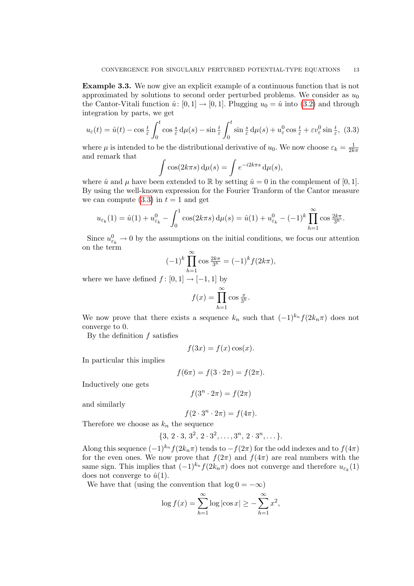Example 3.3. We now give an explicit example of a continuous function that is not approximated by solutions to second order perturbed problems. We consider as  $u_0$ the Cantor-Vitali function  $\hat{u}: [0, 1] \rightarrow [0, 1]$ . Plugging  $u_0 = \hat{u}$  into [\(3.2\)](#page-10-1) and through integration by parts, we get

<span id="page-12-0"></span>
$$
u_{\varepsilon}(t) = \hat{u}(t) - \cos \frac{t}{\varepsilon} \int_0^t \cos \frac{s}{\varepsilon} d\mu(s) - \sin \frac{t}{\varepsilon} \int_0^t \sin \frac{s}{\varepsilon} d\mu(s) + u_{\varepsilon}^0 \cos \frac{t}{\varepsilon} + \varepsilon v_{\varepsilon}^0 \sin \frac{t}{\varepsilon}, \tag{3.3}
$$

where  $\mu$  is intended to be the distributional derivative of  $u_0$ . We now choose  $\varepsilon_k = \frac{1}{2k}$  $2k\pi$ and remark that

$$
\int \cos(2k\pi s) \,d\mu(s) = \int e^{-i2k\pi s} \,d\mu(s),
$$

where  $\hat{u}$  and  $\mu$  have been extended to R by setting  $\hat{u} = 0$  in the complement of [0, 1]. By using the well-known expression for the Fourier Tranform of the Cantor measure we can compute  $(3.3)$  in  $t = 1$  and get

$$
u_{\varepsilon_k}(1) = \hat{u}(1) + u_{\varepsilon_k}^0 - \int_0^1 \cos(2k\pi s) \,d\mu(s) = \hat{u}(1) + u_{\varepsilon_k}^0 - (-1)^k \prod_{h=1}^\infty \cos \frac{2k\pi}{3^h}.
$$

Since  $u_{\varepsilon_k}^0 \to 0$  by the assumptions on the initial conditions, we focus our attention on the term

$$
(-1)^k \prod_{h=1}^{\infty} \cos \frac{2k\pi}{3^h} = (-1)^k f(2k\pi),
$$

where we have defined  $f : [0, 1] \rightarrow [-1, 1]$  by

$$
f(x) = \prod_{h=1}^{\infty} \cos \frac{x}{3^h}.
$$

We now prove that there exists a sequence  $k_n$  such that  $(-1)^{k_n} f(2k_n\pi)$  does not converge to 0.

By the definition  $f$  satisfies

$$
f(3x) = f(x)\cos(x).
$$

In particular this implies

$$
f(6\pi) = f(3 \cdot 2\pi) = f(2\pi).
$$

Inductively one gets

$$
f(3^n \cdot 2\pi) = f(2\pi)
$$

and similarly

$$
f(2 \cdot 3^n \cdot 2\pi) = f(4\pi).
$$

Therefore we choose as  $k_n$  the sequence

$$
\{3, 2 \cdot 3, 3^2, 2 \cdot 3^2, \ldots, 3^n, 2 \cdot 3^n, \ldots\}.
$$

Along this sequence  $(-1)^{k_n} f(2k_n\pi)$  tends to  $-f(2\pi)$  for the odd indexes and to  $f(4\pi)$ for the even ones. We now prove that  $f(2\pi)$  and  $f(4\pi)$  are real numbers with the same sign. This implies that  $(-1)^{k_n} f(2k_n\pi)$  does not converge and therefore  $u_{\varepsilon_k}(1)$ does not converge to  $\hat{u}(1)$ .

We have that (using the convention that  $log 0 = -\infty$ )

$$
\log f(x) = \sum_{h=1}^{\infty} \log |\cos x| \ge -\sum_{h=1}^{\infty} x^2,
$$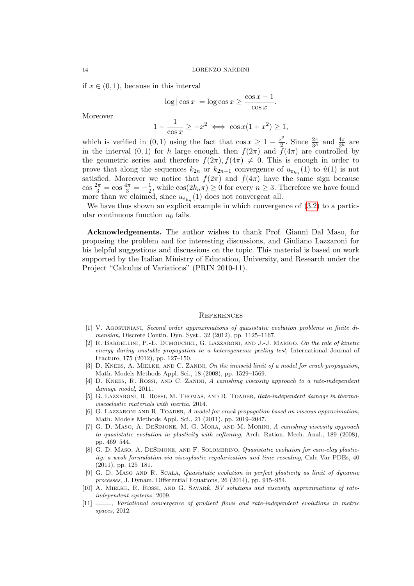if  $x \in (0, 1)$ , because in this interval

$$
\log|\cos x| = \log \cos x \ge \frac{\cos x - 1}{\cos x}.
$$

Moreover

$$
1 - \frac{1}{\cos x} \ge -x^2 \iff \cos x (1 + x^2) \ge 1,
$$

which is verified in (0,1) using the fact that  $\cos x \geq 1 - \frac{x^2}{2}$  $\frac{x^2}{2}$ . Since  $\frac{2\pi}{3^h}$  and  $\frac{4\pi}{3^h}$  are in the interval  $(0, 1)$  for h large enough, then  $f(2\pi)$  and  $\tilde{f}(4\pi)$  are controlled by the geometric series and therefore  $f(2\pi)$ ,  $f(4\pi) \neq 0$ . This is enough in order to prove that along the sequences  $k_{2n}$  or  $k_{2n+1}$  convergence of  $u_{\varepsilon_{k_n}}(1)$  to  $\hat{u}(1)$  is not satisfied. Moreover we notice that  $f(2\pi)$  and  $f(4\pi)$  have the same sign because  $\cos \frac{2\pi}{3} = \cos \frac{4\pi}{3} = -\frac{1}{2}$  $\frac{1}{2}$ , while  $\cos(2k_n\pi) \geq 0$  for every  $n \geq 3$ . Therefore we have found more than we claimed, since  $u_{\varepsilon_{k_n}}(1)$  does not convergeat all.

We have thus shown an explicit example in which convergence of  $(3.2)$  to a particular continuous function  $u_0$  fails.

Acknowledgements. The author wishes to thank Prof. Gianni Dal Maso, for proposing the problem and for interesting discussions, and Giuliano Lazzaroni for his helpful suggestions and discussions on the topic. This material is based on work supported by the Italian Ministry of Education, University, and Research under the Project "Calculus of Variations" (PRIN 2010-11).

### **REFERENCES**

- <span id="page-13-0"></span>[1] V. Agostiniani, Second order approximations of quasistatic evolution problems in finite dimension, Discrete Contin. Dyn. Syst., 32 (2012), pp. 1125–1167.
- <span id="page-13-10"></span>[2] R. Bargellini, P.-E. Dumouchel, G. Lazzaroni, and J.-J. Marigo, On the role of kinetic energy during unstable propagation in a heterogeneous peeling test, International Journal of Fracture, 175 (2012), pp. 127–150.
- <span id="page-13-4"></span>[3] D. KNEES, A. MIELKE, AND C. ZANINI, On the inviscid limit of a model for crack propagation. Math. Models Methods Appl. Sci., 18 (2008), pp. 1529–1569.
- <span id="page-13-6"></span>[4] D. KNEES, R. ROSSI, AND C. ZANINI, A vanishing viscosity approach to a rate-independent damage model, 2011.
- <span id="page-13-8"></span>[5] G. Lazzaroni, R. Rossi, M. Thomas, and R. Toader, Rate-independent damage in thermoviscoelastic materials with inertia, 2014.
- <span id="page-13-5"></span>[6] G. LAZZARONI AND R. TOADER, A model for crack propagation based on viscous approximation. Math. Models Methods Appl. Sci., 21 (2011), pp. 2019–2047.
- <span id="page-13-7"></span>[7] G. D. Maso, A. DeSimone, M. G. Mora, and M. Morini, A vanishing viscosity approach to quasistatic evolution in plasticity with softening, Arch. Ration. Mech. Anal., 189 (2008), pp. 469–544.
- <span id="page-13-3"></span>[8] G. D. MASO, A. DESIMONE, AND F. SOLOMBRINO, Quasistatic evolution for cam-clay plasticity: a weak formulation via viscoplastic regularization and time rescaling, Calc Var PDEs, 40 (2011), pp. 125–181.
- <span id="page-13-9"></span>[9] G. D. Maso and R. Scala, Quasistatic evolution in perfect plasticity as limit of dynamic processes, J. Dynam. Differential Equations, 26 (2014), pp. 915–954.
- <span id="page-13-2"></span>[10] A. MIELKE, R. ROSSI, AND G. SAVARÉ, BV solutions and viscosity approximations of rateindependent systems, 2009.
- <span id="page-13-1"></span>[11]  $\_\_\_\_\$  Variational convergence of gradient flows and rate-independent evolutions in metric spaces, 2012.